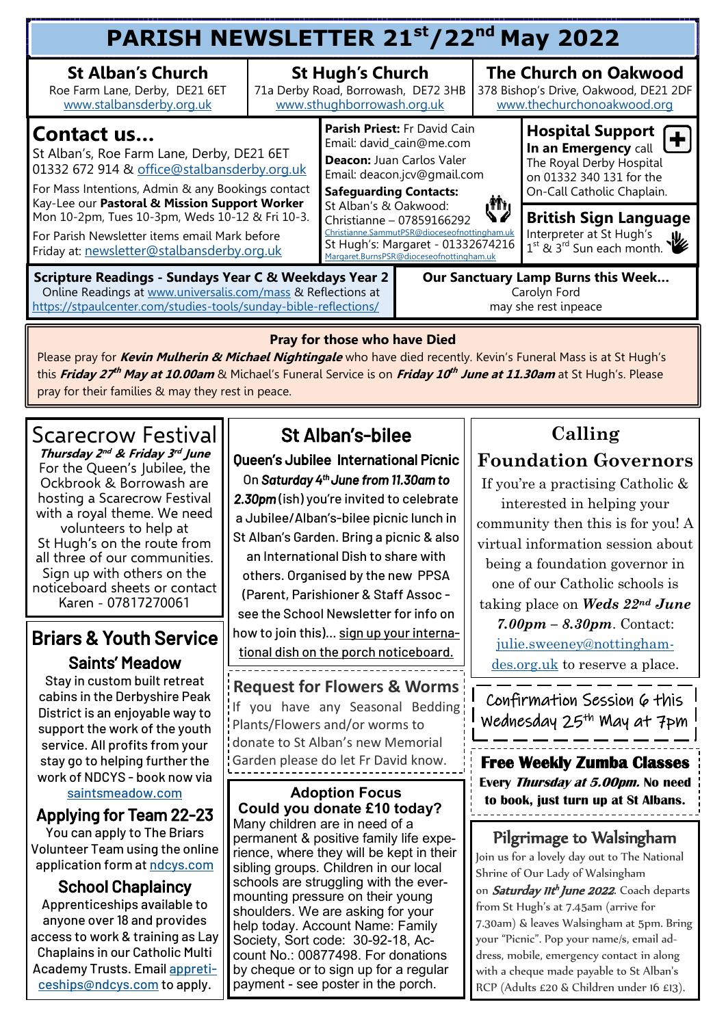| <b>St Alban's Church</b><br><b>St Hugh's Church</b><br>71a Derby Road, Borrowash, DE72 3HB<br>Roe Farm Lane, Derby, DE21 6ET<br>www.stalbansderby.org.uk<br>www.sthughborrowash.org.uk<br>Parish Priest: Fr David Cain<br>Contact us<br>Email: david_cain@me.com<br>St Alban's, Roe Farm Lane, Derby, DE21 6ET<br>Deacon: Juan Carlos Valer                                            |       | <b>The Church on Oakwood</b><br>378 Bishop's Drive, Oakwood, DE21 2DF<br>www.thechurchonoakwood.org<br>Hospital Support ( |  |  |  |
|----------------------------------------------------------------------------------------------------------------------------------------------------------------------------------------------------------------------------------------------------------------------------------------------------------------------------------------------------------------------------------------|-------|---------------------------------------------------------------------------------------------------------------------------|--|--|--|
|                                                                                                                                                                                                                                                                                                                                                                                        |       |                                                                                                                           |  |  |  |
| 01332 672 914 & office@stalbansderby.org.uk<br>Email: deacon.jcv@gmail.com<br>For Mass Intentions, Admin & any Bookings contact<br><b>Safeguarding Contacts:</b>                                                                                                                                                                                                                       |       | In an Emergency call<br>The Royal Derby Hospital<br>on 01332 340 131 for the<br>On-Call Catholic Chaplain.                |  |  |  |
| Kay-Lee our Pastoral & Mission Support Worker<br>St Alban's & Oakwood:<br>Mon 10-2pm, Tues 10-3pm, Weds 10-12 & Fri 10-3.<br>Christianne - 07859166292<br>Christianne.SammutPSR@dioceseofnottingham.uk<br>For Parish Newsletter items email Mark before<br>St Hugh's: Margaret - 01332674216<br>Friday at: newsletter@stalbansderby.org.uk<br>Margaret.BurnsPSR@dioceseofnottingham.uk | رٹائی | <b>British Sign Language</b><br>Interpreter at St Hugh's<br>$1^{\text{st}}$ & $3^{\text{rd}}$ Sun each month.             |  |  |  |
| Scripture Readings - Sundays Year C & Weekdays Year 2<br><b>Our Sanctuary Lamp Burns this Week</b><br>Online Readings at www.universalis.com/mass & Reflections at<br>Carolyn Ford<br>https://stpaulcenter.com/studies-tools/sunday-bible-reflections/<br>may she rest inpeace                                                                                                         |       |                                                                                                                           |  |  |  |

#### **Pray for those who have Died**

Please pray for **Kevin Mulherin & Michael Nightingale** who have died recently. Kevin's Funeral Mass is at St Hugh's **this** *Friday 27<sup>th</sup> May at 10.00am* **& Michael's Funeral Service is on** *Friday 10<sup>th</sup> June at 11.30am* **at St Hugh's. Please** pray for their families & may they rest in peace.

## Scarecrow Festival

**Thursday 2 nd & Friday 3 rd June**  For the Queen's Jubilee, the Ockbrook & Borrowash are hosting a Scarecrow Festival with a royal theme. We need volunteers to help at St Hugh's on the route from all three of our communities. Sign up with others on the noticeboard sheets or contact Karen - 07817270061

### Briars & Youth Service Saints' Meadow

Stay in custom built retreat cabins in the Derbyshire Peak District is an enjoyable way to support the work of the youth service. All profits from your stay go to helping further the work of NDCYS - book now via

### [saintsmeadow.com](mailto:saintsmeadow.com)

Applying for Team 22-23

You can apply to The Briars Volunteer Team using the online application form at [ndcys.com](mailto:ndcys.com)

### School Chaplaincy

Apprenticeships available to anyone over 18 and provides access to work & training as Lay Chaplains in our Catholic Multi Academy Trusts. Email [appreti](mailto:appreticeships@ndcys.com)[ceships@ndcys.com](mailto:appreticeships@ndcys.com) to apply.

## St Alban's-bilee

Queen's Jubilee International Picnic On *Saturday 4th June from 11.30am to* 

*2.30pm* (ish) you're invited to celebrate a Jubilee/Alban's-bilee picnic lunch in St Alban's Garden. Bring a picnic & also an International Dish to share with others. Organised by the new PPSA (Parent, Parishioner & Staff Assoc see the School Newsletter for info on how to join this)... sign up your international dish on the porch noticeboard. 

**Request for Flowers & Worms** If you have any Seasonal Bedding Plants/Flowers and/or worms to donate to St Alban's new Memorial Garden please do let Fr David know. **Free Weekly Zumba Classes** 

**Adoption Focus Could you donate £10 today?**  Many children are in need of a permanent & positive family life experience, where they will be kept in their sibling groups. Children in our local schools are struggling with the evermounting pressure on their young shoulders. We are asking for your help today. Account Name: Family Society, Sort code: 30-92-18, Account No.: 00877498. For donations by cheque or to sign up for a regular payment - see poster in the porch.

## **Calling Foundation Governors**

If you're a practising Catholic & interested in helping your community then this is for you! A virtual information session about being a foundation governor in one of our Catholic schools is taking place on *Weds 22nd June 7.00pm – 8.30pm*. Contact: [julie.sweeney@nottingham](mailto:julie.sweeney@nottingham-des.org.uk)[des.org.uk](mailto:julie.sweeney@nottingham-des.org.uk) to reserve a place.

Confirmation Session 6 this Wednesday 25th May at 7pm

**Every Thursday at 5.00pm. No need to book, just turn up at St Albans.** 

Pilgrimage to Walsingham Join us for a lovely day out to The National Shrine of Our Lady of Walsingham on Saturday IIt<sup>h</sup> June 2022. Coach departs from St Hugh's at 7.45am (arrive for 7.30am) & leaves Walsingham at 5pm. Bring your "Picnic". Pop your name/s, email address, mobile, emergency contact in along with a cheque made payable to St Alban's RCP (Adults £20 & Children under 16 £13).